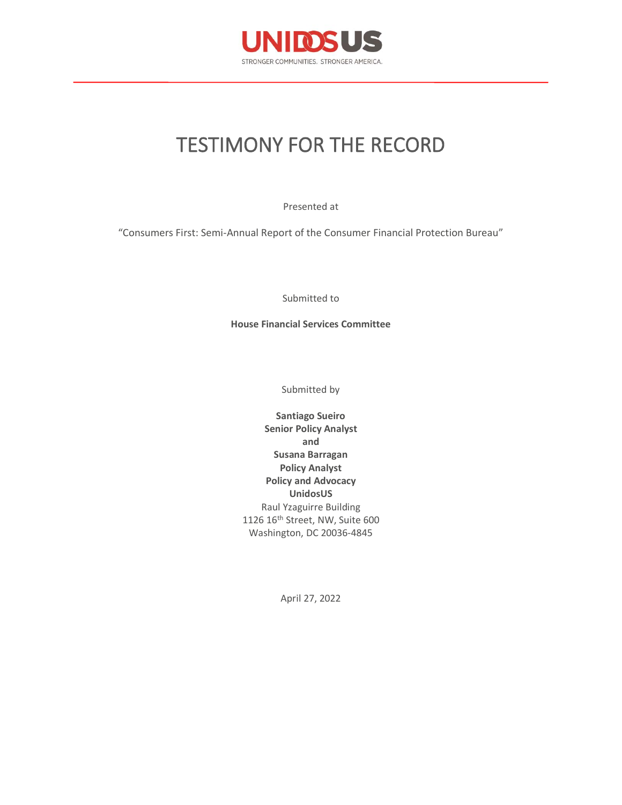

# TESTIMONY FOR THE RECORD

Presented at

"Consumers First: Semi-Annual Report of the Consumer Financial Protection Bureau"

Submitted to

**House Financial Services Committee**

Submitted by

**Santiago Sueiro Senior Policy Analyst and Susana Barragan Policy Analyst Policy and Advocacy UnidosUS** Raul Yzaguirre Building 1126 16th Street, NW, Suite 600 Washington, DC 20036-4845

April 27, 2022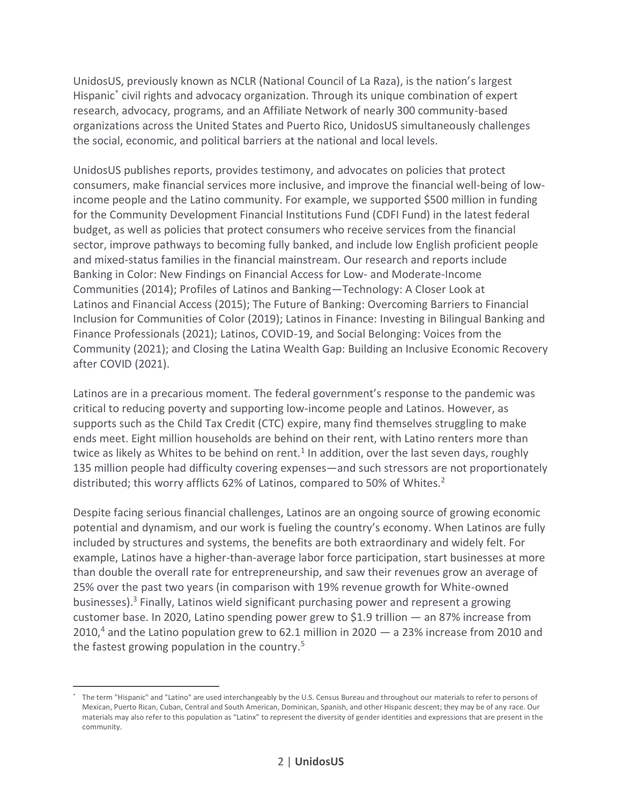UnidosUS, previously known as NCLR (National Council of La Raza), is the nation's largest Hispanic\* civil rights and advocacy organization. Through its unique combination of expert research, advocacy, programs, and an Affiliate Network of nearly 300 community-based organizations across the United States and Puerto Rico, UnidosUS simultaneously challenges the social, economic, and political barriers at the national and local levels.

UnidosUS publishes reports, provides testimony, and advocates on policies that protect consumers, make financial services more inclusive, and improve the financial well-being of lowincome people and the Latino community. For example, we supported \$500 million in funding for the Community Development Financial Institutions Fund (CDFI Fund) in the latest federal budget, as well as policies that protect consumers who receive services from the financial sector, improve pathways to becoming fully banked, and include low English proficient people and mixed-status families in the financial mainstream. Our research and reports include Banking in Color: New Findings on Financial Access for Low- and Moderate-Income Communities (2014); Profiles of Latinos and Banking—Technology: A Closer Look at Latinos and Financial Access (2015); The Future of Banking: Overcoming Barriers to Financial Inclusion for Communities of Color (2019); Latinos in Finance: Investing in Bilingual Banking and Finance Professionals (2021); Latinos, COVID-19, and Social Belonging: Voices from the Community (2021); and Closing the Latina Wealth Gap: Building an Inclusive Economic Recovery after COVID (2021).

Latinos are in a precarious moment. The federal government's response to the pandemic was critical to reducing poverty and supporting low-income people and Latinos. However, as supports such as the Child Tax Credit (CTC) expire, many find themselves struggling to make ends meet. Eight million households are behind on their rent, with Latino renters more than twice as likely as Whites to be behind on rent.<sup>1</sup> In addition, over the last seven days, roughly 135 million people had difficulty covering expenses—and such stressors are not proportionately distributed; this worry afflicts 62% of Latinos, compared to 50% of Whites.<sup>2</sup>

Despite facing serious financial challenges, Latinos are an ongoing source of growing economic potential and dynamism, and our work is fueling the country's economy. When Latinos are fully included by structures and systems, the benefits are both extraordinary and widely felt. For example, Latinos have a higher-than-average labor force participation, start businesses at more than double the overall rate for entrepreneurship, and saw their revenues grow an average of 25% over the past two years (in comparison with 19% revenue growth for White-owned businesses).<sup>3</sup> Finally, Latinos wield significant purchasing power and represent a growing customer base. In 2020, Latino spending power grew to \$1.9 trillion — an 87% increase from 2010,<sup>4</sup> and the Latino population grew to 62.1 million in 2020  $-$  a 23% increase from 2010 and the fastest growing population in the country.<sup>5</sup>

The term "Hispanic" and "Latino" are used interchangeably by the U.S. Census Bureau and throughout our materials to refer to persons of Mexican, Puerto Rican, Cuban, Central and South American, Dominican, Spanish, and other Hispanic descent; they may be of any race. Our materials may also refer to this population as "Latinx" to represent the diversity of gender identities and expressions that are present in the community.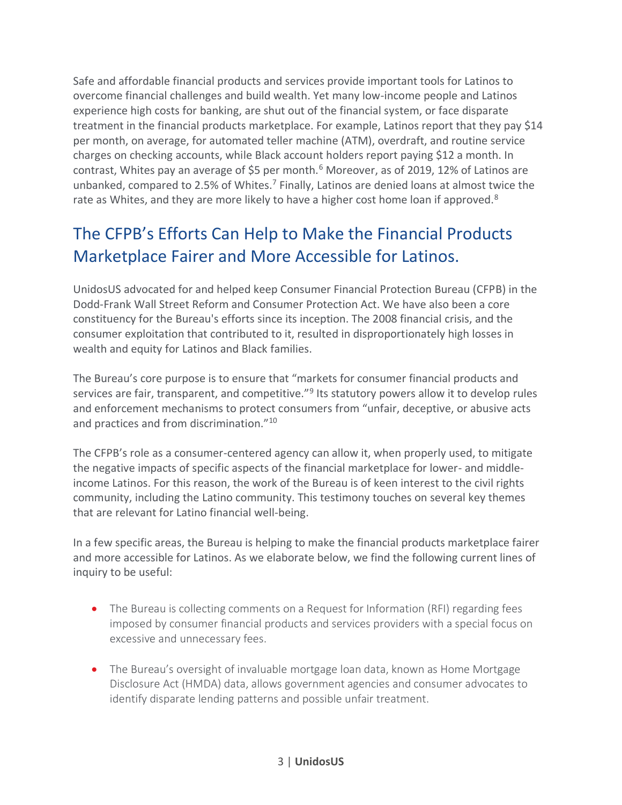Safe and affordable financial products and services provide important tools for Latinos to overcome financial challenges and build wealth. Yet many low-income people and Latinos experience high costs for banking, are shut out of the financial system, or face disparate treatment in the financial products marketplace. For example, Latinos report that they pay \$14 per month, on average, for automated teller machine (ATM), overdraft, and routine service charges on checking accounts, while Black account holders report paying \$12 a month. In contrast, Whites pay an average of \$5 per month. $6$  Moreover, as of 2019, 12% of Latinos are unbanked, compared to 2.5% of Whites.<sup>7</sup> Finally, Latinos are denied loans at almost twice the rate as Whites, and they are more likely to have a higher cost home loan if approved.<sup>8</sup>

# The CFPB's Efforts Can Help to Make the Financial Products Marketplace Fairer and More Accessible for Latinos.

UnidosUS advocated for and helped keep Consumer Financial Protection Bureau (CFPB) in the Dodd-Frank Wall Street Reform and Consumer Protection Act. We have also been a core constituency for the Bureau's efforts since its inception. The 2008 financial crisis, and the consumer exploitation that contributed to it, resulted in disproportionately high losses in wealth and equity for Latinos and Black families.

The Bureau's core purpose is to ensure that "markets for consumer financial products and services are fair, transparent, and competitive."<sup>9</sup> Its statutory powers allow it to develop rules and enforcement mechanisms to protect consumers from "unfair, deceptive, or abusive acts and practices and from discrimination."<sup>10</sup>

The CFPB's role as a consumer-centered agency can allow it, when properly used, to mitigate the negative impacts of specific aspects of the financial marketplace for lower- and middleincome Latinos. For this reason, the work of the Bureau is of keen interest to the civil rights community, including the Latino community. This testimony touches on several key themes that are relevant for Latino financial well-being.

In a few specific areas, the Bureau is helping to make the financial products marketplace fairer and more accessible for Latinos. As we elaborate below, we find the following current lines of inquiry to be useful:

- The Bureau is collecting comments on a Request for Information (RFI) regarding fees imposed by consumer financial products and services providers with a special focus on excessive and unnecessary fees.
- The Bureau's oversight of invaluable mortgage loan data, known as Home Mortgage Disclosure Act (HMDA) data, allows government agencies and consumer advocates to identify disparate lending patterns and possible unfair treatment.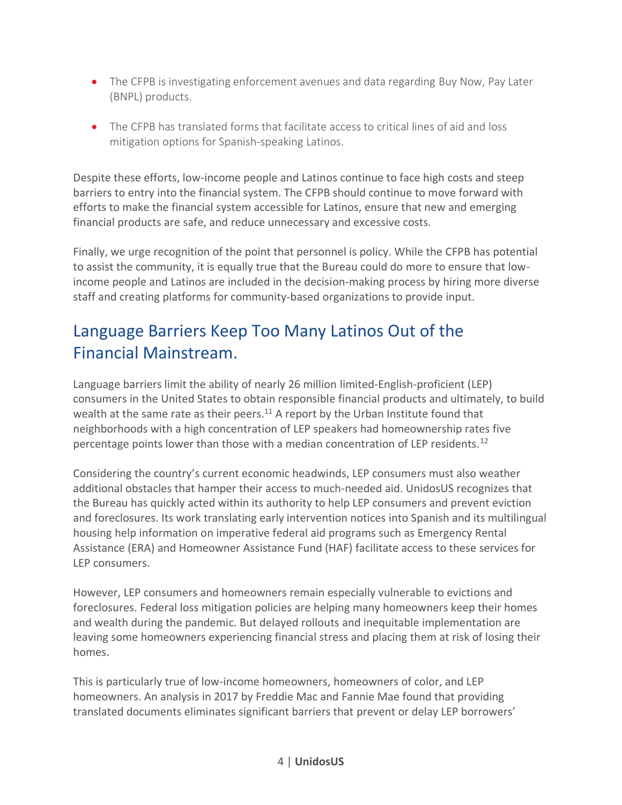- The CFPB is investigating enforcement avenues and data regarding Buy Now, Pay Later (BNPL) products.
- The CFPB has translated forms that facilitate access to critical lines of aid and loss mitigation options for Spanish-speaking Latinos.

Despite these efforts, low-income people and Latinos continue to face high costs and steep barriers to entry into the financial system. The CFPB should continue to move forward with efforts to make the financial system accessible for Latinos, ensure that new and emerging financial products are safe, and reduce unnecessary and excessive costs.

Finally, we urge recognition of the point that personnel is policy. While the CFPB has potential to assist the community, it is equally true that the Bureau could do more to ensure that lowincome people and Latinos are included in the decision-making process by hiring more diverse staff and creating platforms for community-based organizations to provide input.

# Language Barriers Keep Too Many Latinos Out of the Financial Mainstream.

Language barriers limit the ability of nearly 26 million limited-English-proficient (LEP) consumers in the United States to obtain responsible financial products and ultimately, to build wealth at the same rate as their peers.<sup>11</sup> A report by the Urban Institute found that neighborhoods with a high concentration of LEP speakers had homeownership rates five percentage points lower than those with a median concentration of LEP residents.<sup>12</sup>

Considering the country's current economic headwinds, LEP consumers must also weather additional obstacles that hamper their access to much-needed aid. UnidosUS recognizes that the Bureau has quickly acted within its authority to help LEP consumers and prevent eviction and foreclosures. Its work translating early intervention notices into Spanish and its multilingual housing help information on imperative federal aid programs such as Emergency Rental Assistance (ERA) and Homeowner Assistance Fund (HAF) facilitate access to these services for LEP consumers.

However, LEP consumers and homeowners remain especially vulnerable to evictions and foreclosures. Federal loss mitigation policies are helping many homeowners keep their homes and wealth during the pandemic. But delayed rollouts and inequitable implementation are leaving some homeowners experiencing financial stress and placing them at risk of losing their homes.

This is particularly true of low-income homeowners, homeowners of color, and LEP homeowners. An analysis in 2017 by Freddie Mac and Fannie Mae found that providing translated documents eliminates significant barriers that prevent or delay LEP borrowers'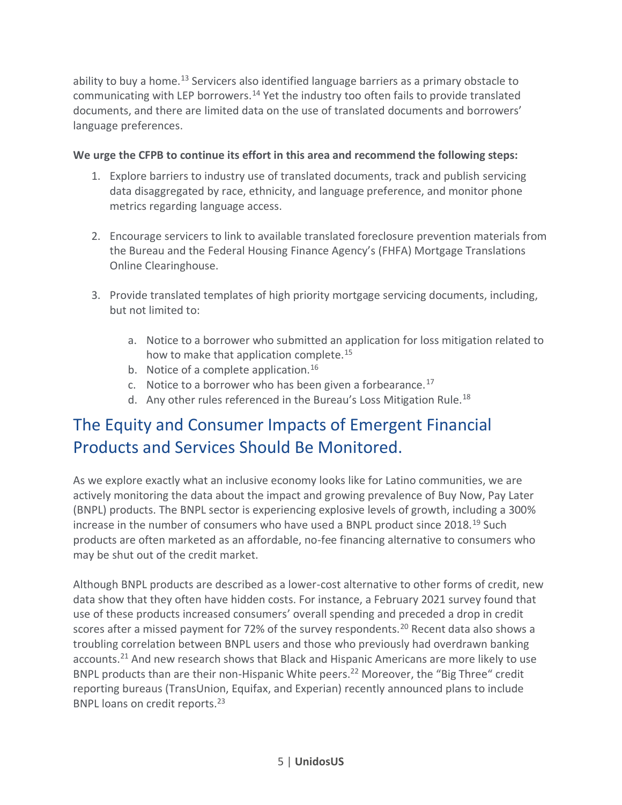ability to buy a home.<sup>13</sup> Servicers also identified language barriers as a primary obstacle to communicating with LEP borrowers.<sup>14</sup> Yet the industry too often fails to provide translated documents, and there are limited data on the use of translated documents and borrowers' language preferences.

#### **We urge the CFPB to continue its effort in this area and recommend the following steps:**

- 1. Explore barriers to industry use of translated documents, track and publish servicing data disaggregated by race, ethnicity, and language preference, and monitor phone metrics regarding language access.
- 2. Encourage servicers to link to available translated foreclosure prevention materials from the Bureau and the Federal Housing Finance Agency's (FHFA) Mortgage Translations Online Clearinghouse.
- 3. Provide translated templates of high priority mortgage servicing documents, including, but not limited to:
	- a. Notice to a borrower who submitted an application for loss mitigation related to how to make that application complete.<sup>15</sup>
	- b. Notice of a complete application.<sup>16</sup>
	- c. Notice to a borrower who has been given a forbearance.<sup>17</sup>
	- d. Any other rules referenced in the Bureau's Loss Mitigation Rule.<sup>18</sup>

### The Equity and Consumer Impacts of Emergent Financial Products and Services Should Be Monitored.

As we explore exactly what an inclusive economy looks like for Latino communities, we are actively monitoring the data about the impact and growing prevalence of Buy Now, Pay Later (BNPL) products. The BNPL sector is experiencing explosive levels of growth, including a 300% increase in the number of consumers who have used a BNPL product since  $2018^{19}$  Such products are often marketed as an affordable, no-fee financing alternative to consumers who may be shut out of the credit market.

Although BNPL products are described as a lower-cost alternative to other forms of credit, new data show that they often have hidden costs. For instance, a February 2021 survey found that use of these products increased consumers' overall spending and preceded a drop in credit scores after a missed payment for 72% of the survey respondents.<sup>20</sup> Recent data also shows a troubling correlation between BNPL users and those who previously had overdrawn banking accounts.<sup>21</sup> And new research shows that Black and Hispanic Americans are more likely to use BNPL products than are their non-Hispanic White peers.<sup>22</sup> Moreover, the "Big Three" credit reporting bureaus (TransUnion, Equifax, and Experian) recently announced plans to include BNPL loans on credit reports.<sup>23</sup>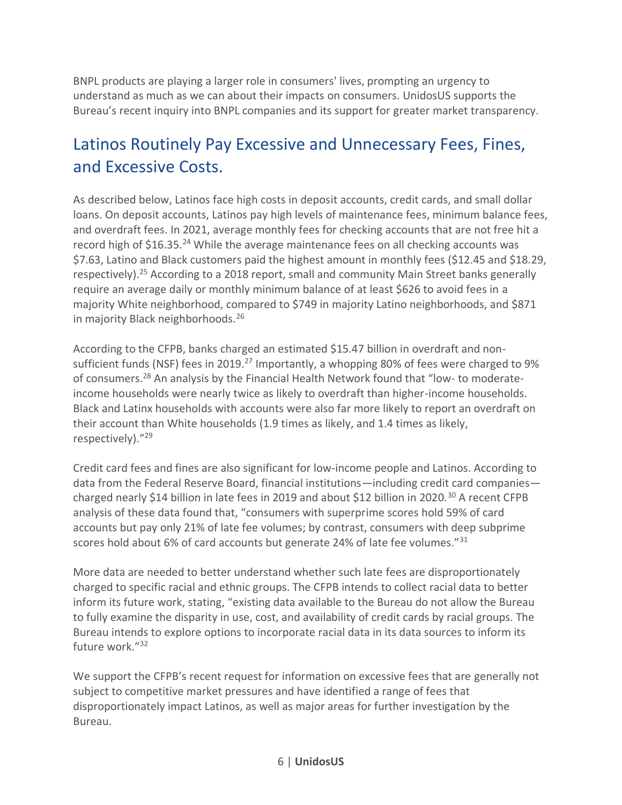BNPL products are playing a larger role in consumers' lives, prompting an urgency to understand as much as we can about their impacts on consumers. UnidosUS supports the Bureau's recent inquiry into BNPL companies and its support for greater market transparency.

### Latinos Routinely Pay Excessive and Unnecessary Fees, Fines, and Excessive Costs.

As described below, Latinos face high costs in deposit accounts, credit cards, and small dollar loans. On deposit accounts, Latinos pay high levels of maintenance fees, minimum balance fees, and overdraft fees. In 2021, average monthly fees for checking accounts that are not free hit a record high of \$16.35.<sup>24</sup> While the average maintenance fees on all checking accounts was \$7.63, Latino and Black customers paid the highest amount in monthly fees (\$12.45 and \$18.29, respectively).<sup>25</sup> According to a 2018 report, small and community Main Street banks generally require an average daily or monthly minimum balance of at least \$626 to avoid fees in a majority White neighborhood, compared to \$749 in majority Latino neighborhoods, and \$871 in majority Black neighborhoods.<sup>26</sup>

According to the CFPB, banks charged an estimated \$15.47 billion in overdraft and nonsufficient funds (NSF) fees in 2019.<sup>27</sup> Importantly, a whopping 80% of fees were charged to 9% of consumers.<sup>28</sup> An analysis by the Financial Health Network found that "low- to moderateincome households were nearly twice as likely to overdraft than higher-income households. Black and Latinx households with accounts were also far more likely to report an overdraft on their account than White households (1.9 times as likely, and 1.4 times as likely, respectively)."<sup>29</sup>

Credit card fees and fines are also significant for low-income people and Latinos. According to data from the Federal Reserve Board, financial institutions—including credit card companies charged nearly \$14 billion in late fees in 2019 and about \$12 billion in 2020.<sup>30</sup> A recent CFPB analysis of these data found that, "consumers with superprime scores hold 59% of card accounts but pay only 21% of late fee volumes; by contrast, consumers with deep subprime scores hold about 6% of card accounts but generate 24% of late fee volumes."<sup>31</sup>

More data are needed to better understand whether such late fees are disproportionately charged to specific racial and ethnic groups. The CFPB intends to collect racial data to better inform its future work, stating, "existing data available to the Bureau do not allow the Bureau to fully examine the disparity in use, cost, and availability of credit cards by racial groups. The Bureau intends to explore options to incorporate racial data in its data sources to inform its future work."<sup>32</sup>

We support the CFPB's recent request for information on excessive fees that are generally not subject to competitive market pressures and have identified a range of fees that disproportionately impact Latinos, as well as major areas for further investigation by the Bureau.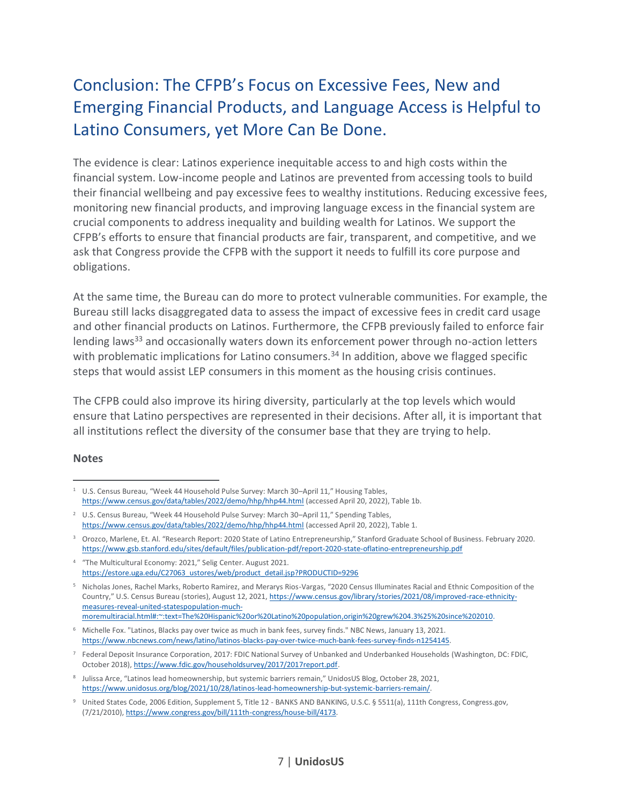# Conclusion: The CFPB's Focus on Excessive Fees, New and Emerging Financial Products, and Language Access is Helpful to Latino Consumers, yet More Can Be Done.

The evidence is clear: Latinos experience inequitable access to and high costs within the financial system. Low-income people and Latinos are prevented from accessing tools to build their financial wellbeing and pay excessive fees to wealthy institutions. Reducing excessive fees, monitoring new financial products, and improving language excess in the financial system are crucial components to address inequality and building wealth for Latinos. We support the CFPB's efforts to ensure that financial products are fair, transparent, and competitive, and we ask that Congress provide the CFPB with the support it needs to fulfill its core purpose and obligations.

At the same time, the Bureau can do more to protect vulnerable communities. For example, the Bureau still lacks disaggregated data to assess the impact of excessive fees in credit card usage and other financial products on Latinos. Furthermore, the CFPB previously failed to enforce fair lending laws<sup>33</sup> and occasionally waters down its enforcement power through no-action letters with problematic implications for Latino consumers.<sup>34</sup> In addition, above we flagged specific steps that would assist LEP consumers in this moment as the housing crisis continues.

The CFPB could also improve its hiring diversity, particularly at the top levels which would ensure that Latino perspectives are represented in their decisions. After all, it is important that all institutions reflect the diversity of the consumer base that they are trying to help.

#### **Notes**

<sup>&</sup>lt;sup>1</sup> U.S. Census Bureau, "Week 44 Household Pulse Survey: March 30-April 11," Housing Tables, <https://www.census.gov/data/tables/2022/demo/hhp/hhp44.html> (accessed April 20, 2022), Table 1b.

<sup>&</sup>lt;sup>2</sup> U.S. Census Bureau, "Week 44 Household Pulse Survey: March 30-April 11," Spending Tables, <https://www.census.gov/data/tables/2022/demo/hhp/hhp44.html> (accessed April 20, 2022), Table 1.

<sup>&</sup>lt;sup>3</sup> Orozco, Marlene, Et. Al. "Research Report: 2020 State of Latino Entrepreneurship," Stanford Graduate School of Business. February 2020. <https://www.gsb.stanford.edu/sites/default/files/publication-pdf/report-2020-state-oflatino-entrepreneurship.pdf>

<sup>4</sup> "The Multicultural Economy: 2021," Selig Center. August 2021. [https://estore.uga.edu/C27063\\_ustores/web/product\\_detail.jsp?PRODUCTID=9296](https://estore.uga.edu/C27063_ustores/web/product_detail.jsp?PRODUCTID=9296)

<sup>5</sup> Nicholas Jones, Rachel Marks, Roberto Ramirez, and Merarys Rios-Vargas, "2020 Census Illuminates Racial and Ethnic Composition of the Country," U.S. Census Bureau (stories), August 12, 2021, [https://www.census.gov/library/stories/2021/08/improved-race-ethnicity](https://www.census.gov/library/stories/2021/08/improved-race-ethnicity-measures-reveal-united-statespopulation-much-moremultiracial.html#:~:text=The%20Hispanic%20or%20Latino%20population,origin%20grew%204.3%25%20since%202010)[measures-reveal-united-statespopulation-much](https://www.census.gov/library/stories/2021/08/improved-race-ethnicity-measures-reveal-united-statespopulation-much-moremultiracial.html#:~:text=The%20Hispanic%20or%20Latino%20population,origin%20grew%204.3%25%20since%202010)[moremultiracial.html#:~:text=The%20Hispanic%20or%20Latino%20population,origin%20grew%204.3%25%20since%202010.](https://www.census.gov/library/stories/2021/08/improved-race-ethnicity-measures-reveal-united-statespopulation-much-moremultiracial.html#:~:text=The%20Hispanic%20or%20Latino%20population,origin%20grew%204.3%25%20since%202010)

<sup>6</sup> Michelle Fox. "Latinos, Blacks pay over twice as much in bank fees, survey finds." NBC News, January 13, 2021. [https://www.nbcnews.com/news/latino/latinos-blacks-pay-over-twice-much-bank-fees-survey-finds-n1254145.](https://www.nbcnews.com/news/latino/latinos-blacks-pay-over-twice-much-bank-fees-survey-finds-n1254145)

<sup>7</sup> Federal Deposit Insurance Corporation, 2017: FDIC National Survey of Unbanked and Underbanked Households (Washington, DC: FDIC, October 2018), [https://www.fdic.gov/householdsurvey/2017/2017report.pdf.](https://www.fdic.gov/householdsurvey/2017/2017report.pdf)

<sup>8</sup> Julissa Arce, "Latinos lead homeownership, but systemic barriers remain," UnidosUS Blog, October 28, 2021, [https://www.unidosus.org/blog/2021/10/28/latinos-lead-homeownership-but-systemic-barriers-remain/.](https://www.unidosus.org/blog/2021/10/28/latinos-lead-homeownership-but-systemic-barriers-remain/)

<sup>&</sup>lt;sup>9</sup> United States Code, 2006 Edition, Supplement 5, Title 12 - BANKS AND BANKING, U.S.C. § 5511(a), 111th Congress, Congress.gov, (7/21/2010)[, https://www.congress.gov/bill/111th-congress/house-bill/4173.](https://www.congress.gov/bill/111th-congress/house-bill/4173)